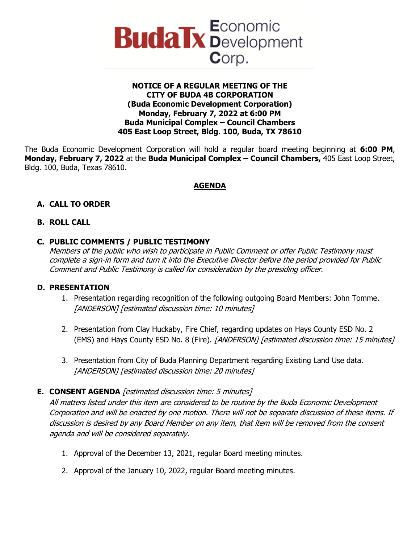

#### **NOTICE OF A REGULAR MEETING OF THE CITY OF BUDA 4B CORPORATION (Buda Economic Development Corporation) Monday, February 7, 2022 at 6:00 PM Buda Municipal Complex – Council Chambers 405 East Loop Street, Bldg. 100, Buda, TX 78610**

The Buda Economic Development Corporation will hold a regular board meeting beginning at **6:00 PM**, **Monday, February 7, 2022** at the **Buda Municipal Complex – Council Chambers,** 405 East Loop Street, Bldg. 100, Buda, Texas 78610.

## **AGENDA**

## **A. CALL TO ORDER**

## **B. ROLL CALL**

#### **C. PUBLIC COMMENTS / PUBLIC TESTIMONY**

Members of the public who wish to participate in Public Comment or offer Public Testimony must complete a sign-in form and turn it into the Executive Director before the period provided for Public Comment and Public Testimony is called for consideration by the presiding officer.

#### **D. PRESENTATION**

- 1. Presentation regarding recognition of the following outgoing Board Members: John Tomme. [ANDERSON] [estimated discussion time: 10 minutes]
- 2. Presentation from Clay Huckaby, Fire Chief, regarding updates on Hays County ESD No. 2 (EMS) and Hays County ESD No. 8 (Fire). [ANDERSON] [estimated discussion time: 15 minutes]
- 3. Presentation from City of Buda Planning Department regarding Existing Land Use data. [ANDERSON] [estimated discussion time: 20 minutes]

## **E. CONSENT AGENDA** [estimated discussion time: 5 minutes]

All matters listed under this item are considered to be routine by the Buda Economic Development Corporation and will be enacted by one motion. There will not be separate discussion of these items. If discussion is desired by any Board Member on any item, that item will be removed from the consent agenda and will be considered separately.

- 1. Approval of the December 13, 2021, regular Board meeting minutes.
- 2. Approval of the January 10, 2022, regular Board meeting minutes.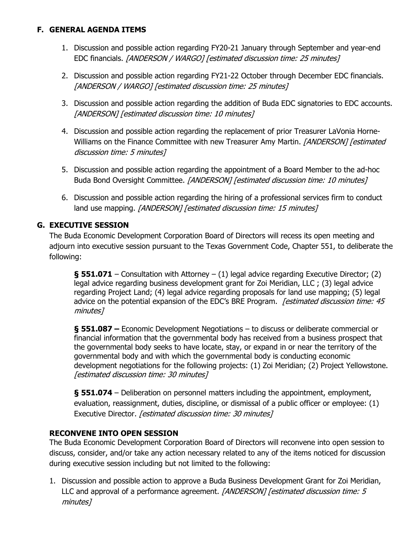## **F. GENERAL AGENDA ITEMS**

- 1. Discussion and possible action regarding FY20-21 January through September and year-end EDC financials. [ANDERSON / WARGO] [estimated discussion time: 25 minutes]
- 2. Discussion and possible action regarding FY21-22 October through December EDC financials. [ANDERSON / WARGO] [estimated discussion time: 25 minutes]
- 3. Discussion and possible action regarding the addition of Buda EDC signatories to EDC accounts. [ANDERSON] [estimated discussion time: 10 minutes]
- 4. Discussion and possible action regarding the replacement of prior Treasurer LaVonia Horne-Williams on the Finance Committee with new Treasurer Amy Martin. [ANDERSON] [estimated discussion time: 5 minutes]
- 5. Discussion and possible action regarding the appointment of a Board Member to the ad-hoc Buda Bond Oversight Committee. [ANDERSON] [estimated discussion time: 10 minutes]
- 6. Discussion and possible action regarding the hiring of a professional services firm to conduct land use mapping. [ANDERSON] [estimated discussion time: 15 minutes]

## **G. EXECUTIVE SESSION**

The Buda Economic Development Corporation Board of Directors will recess its open meeting and adjourn into executive session pursuant to the Texas Government Code, Chapter 551, to deliberate the following:

**§ 551.071** – Consultation with Attorney – (1) legal advice regarding Executive Director; (2) legal advice regarding business development grant for Zoi Meridian, LLC ; (3) legal advice regarding Project Land; (4) legal advice regarding proposals for land use mapping; (5) legal advice on the potential expansion of the EDC's BRE Program. [estimated discussion time: 45 minutes]

**§ 551.087 –** Economic Development Negotiations – to discuss or deliberate commercial or financial information that the governmental body has received from a business prospect that the governmental body seeks to have locate, stay, or expand in or near the territory of the governmental body and with which the governmental body is conducting economic development negotiations for the following projects: (1) Zoi Meridian; (2) Project Yellowstone. [estimated discussion time: 30 minutes]

**§ 551.074** – Deliberation on personnel matters including the appointment, employment, evaluation, reassignment, duties, discipline, or dismissal of a public officer or employee: (1) Executive Director. [estimated discussion time: 30 minutes]

## **RECONVENE INTO OPEN SESSION**

The Buda Economic Development Corporation Board of Directors will reconvene into open session to discuss, consider, and/or take any action necessary related to any of the items noticed for discussion during executive session including but not limited to the following:

1. Discussion and possible action to approve a Buda Business Development Grant for Zoi Meridian, LLC and approval of a performance agreement. [ANDERSON] [estimated discussion time: 5 minutes]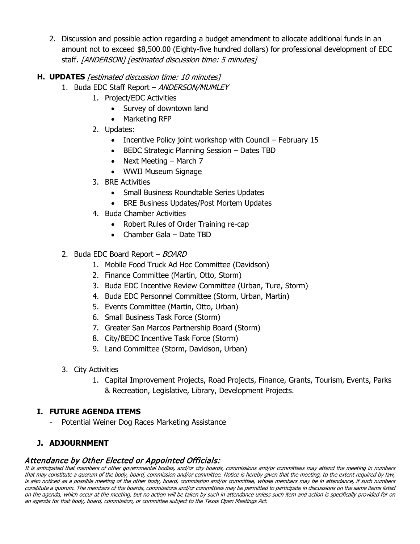2. Discussion and possible action regarding a budget amendment to allocate additional funds in an amount not to exceed \$8,500.00 (Eighty-five hundred dollars) for professional development of EDC staff. [ANDERSON] [estimated discussion time: 5 minutes]

## **H. UPDATES** [estimated discussion time: 10 minutes]

- 1. Buda EDC Staff Report ANDERSON/MUMLEY
	- 1. Project/EDC Activities
		- Survey of downtown land
		- Marketing RFP
	- 2. Updates:
		- Incentive Policy joint workshop with Council February 15
		- BEDC Strategic Planning Session Dates TBD
		- Next Meeting March 7
		- WWII Museum Signage
	- 3. BRE Activities
		- Small Business Roundtable Series Updates
		- BRE Business Updates/Post Mortem Updates
	- 4. Buda Chamber Activities
		- Robert Rules of Order Training re-cap
		- Chamber Gala Date TBD

## 2. Buda EDC Board Report - BOARD

- 1. Mobile Food Truck Ad Hoc Committee (Davidson)
- 2. Finance Committee (Martin, Otto, Storm)
- 3. Buda EDC Incentive Review Committee (Urban, Ture, Storm)
- 4. Buda EDC Personnel Committee (Storm, Urban, Martin)
- 5. Events Committee (Martin, Otto, Urban)
- 6. Small Business Task Force (Storm)
- 7. Greater San Marcos Partnership Board (Storm)
- 8. City/BEDC Incentive Task Force (Storm)
- 9. Land Committee (Storm, Davidson, Urban)
- 3. City Activities
	- 1. Capital Improvement Projects, Road Projects, Finance, Grants, Tourism, Events, Parks & Recreation, Legislative, Library, Development Projects.

## **I. FUTURE AGENDA ITEMS**

Potential Weiner Dog Races Marketing Assistance

# **J. ADJOURNMENT**

Attendance by Other Elected or Appointed Officials:<br>It is anticipated that members of other governmental bodies, and/or city boards, commissions and/or committees may attend the meeting in numbers that may constitute a quorum of the body, board, commission and/or committee. Notice is hereby given that the meeting, to the extent required by law, is also noticed as a possible meeting of the other body, board, commission and/or committee, whose members may be in attendance, if such numbers constitute a quorum. The members of the boards, commissions and/or committees may be permitted to participate in discussions on the same items listed on the agenda, which occur at the meeting, but no action will be taken by such in attendance unless such item and action is specifically provided for on an agenda for that body, board, commission, or committee subject to the Texas Open Meetings Act.